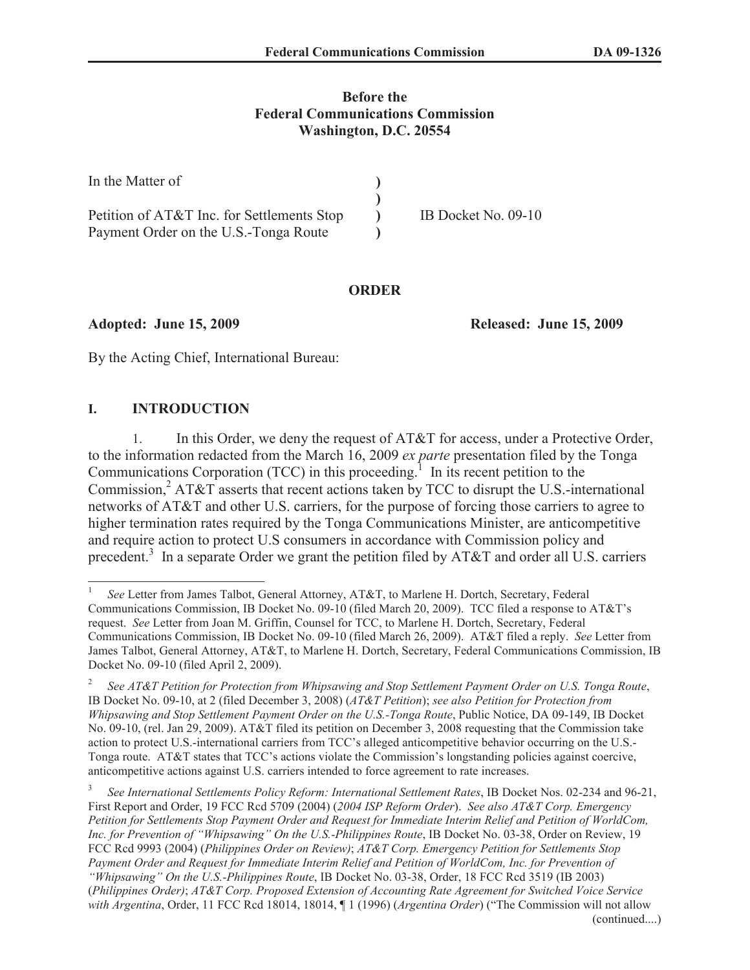## **Before the Federal Communications Commission Washington, D.C. 20554**

| In the Matter of                           |                     |
|--------------------------------------------|---------------------|
|                                            |                     |
| Petition of AT&T Inc. for Settlements Stop | IB Docket No. 09-10 |
| Payment Order on the U.S.-Tonga Route      |                     |

#### **ORDER**

**Adopted: June 15, 2009 Released: June 15, 2009**

By the Acting Chief, International Bureau:

# **I. INTRODUCTION**

1. In this Order, we deny the request of AT&T for access, under a Protective Order, to the information redacted from the March 16, 2009 *ex parte* presentation filed by the Tonga Communications Corporation  $(TCC)$  in this proceeding.<sup>1</sup> In its recent petition to the Commission,<sup>2</sup> AT&T asserts that recent actions taken by TCC to disrupt the U.S.-international networks of AT&T and other U.S. carriers, for the purpose of forcing those carriers to agree to higher termination rates required by the Tonga Communications Minister, are anticompetitive and require action to protect U.S consumers in accordance with Commission policy and precedent.<sup>3</sup> In a separate Order we grant the petition filed by AT&T and order all U.S. carriers

3 *See International Settlements Policy Reform: International Settlement Rates*, IB Docket Nos. 02-234 and 96-21, First Report and Order, 19 FCC Rcd 5709 (2004) (*2004 ISP Reform Order*). *See also AT&T Corp. Emergency Petition for Settlements Stop Payment Order and Request for Immediate Interim Relief and Petition of WorldCom, Inc. for Prevention of "Whipsawing" On the U.S.-Philippines Route*, IB Docket No. 03-38, Order on Review, 19 FCC Rcd 9993 (2004) (*Philippines Order on Review)*; *AT&T Corp. Emergency Petition for Settlements Stop Payment Order and Request for Immediate Interim Relief and Petition of WorldCom, Inc. for Prevention of "Whipsawing" On the U.S.-Philippines Route*, IB Docket No. 03-38, Order, 18 FCC Rcd 3519 (IB 2003) (*Philippines Order)*; *AT&T Corp. Proposed Extension of Accounting Rate Agreement for Switched Voice Service with Argentina*, Order, 11 FCC Rcd 18014, 18014, ¶ 1 (1996) (*Argentina Order*) ("The Commission will not allow (continued....)

<sup>1</sup> *See* Letter from James Talbot, General Attorney, AT&T, to Marlene H. Dortch, Secretary, Federal Communications Commission, IB Docket No. 09-10 (filed March 20, 2009). TCC filed a response to AT&T's request. *See* Letter from Joan M. Griffin, Counsel for TCC, to Marlene H. Dortch, Secretary, Federal Communications Commission, IB Docket No. 09-10 (filed March 26, 2009). AT&T filed a reply. *See* Letter from James Talbot, General Attorney, AT&T, to Marlene H. Dortch, Secretary, Federal Communications Commission, IB Docket No. 09-10 (filed April 2, 2009).

<sup>2</sup> *See AT&T Petition for Protection from Whipsawing and Stop Settlement Payment Order on U.S. Tonga Route*, IB Docket No. 09-10, at 2 (filed December 3, 2008) (*AT&T Petition*); *see also Petition for Protection from Whipsawing and Stop Settlement Payment Order on the U.S.-Tonga Route*, Public Notice, DA 09-149, IB Docket No. 09-10, (rel. Jan 29, 2009). AT&T filed its petition on December 3, 2008 requesting that the Commission take action to protect U.S.-international carriers from TCC's alleged anticompetitive behavior occurring on the U.S.- Tonga route. AT&T states that TCC's actions violate the Commission's longstanding policies against coercive, anticompetitive actions against U.S. carriers intended to force agreement to rate increases.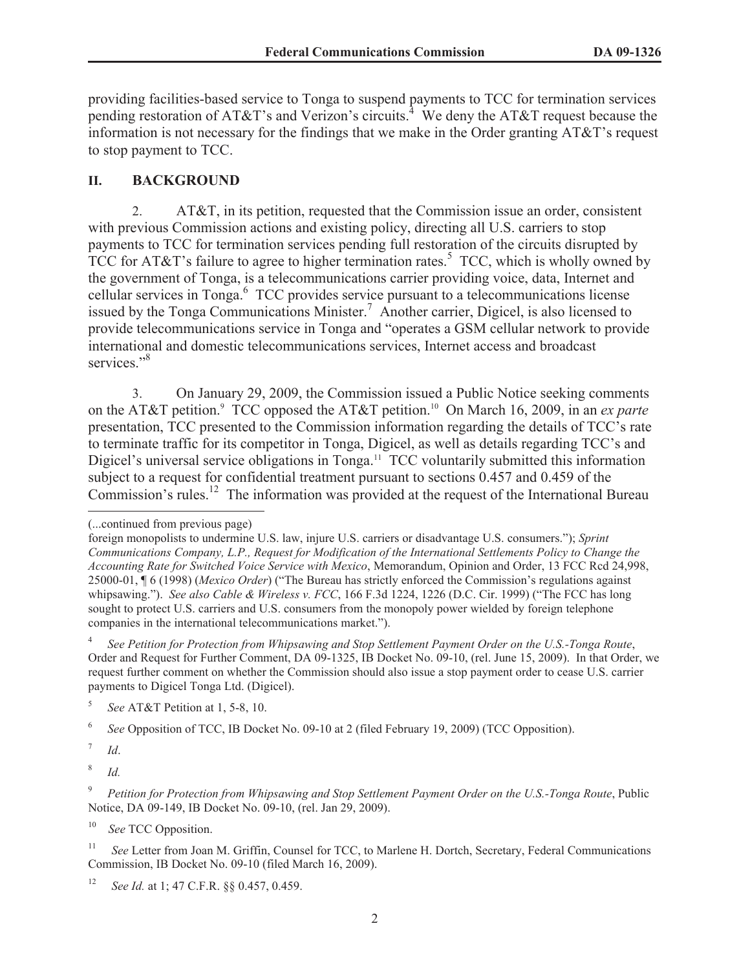providing facilities-based service to Tonga to suspend payments to TCC for termination services pending restoration of AT&T's and Verizon's circuits.<sup>4</sup> We deny the AT&T request because the information is not necessary for the findings that we make in the Order granting AT&T's request to stop payment to TCC.

# **II. BACKGROUND**

2. AT&T, in its petition, requested that the Commission issue an order, consistent with previous Commission actions and existing policy, directing all U.S. carriers to stop payments to TCC for termination services pending full restoration of the circuits disrupted by TCC for AT&T's failure to agree to higher termination rates.<sup>5</sup> TCC, which is wholly owned by the government of Tonga, is a telecommunications carrier providing voice, data, Internet and cellular services in Tonga.<sup>6</sup> TCC provides service pursuant to a telecommunications license issued by the Tonga Communications Minister.<sup>7</sup> Another carrier, Digicel, is also licensed to provide telecommunications service in Tonga and "operates a GSM cellular network to provide international and domestic telecommunications services, Internet access and broadcast services<sup>"8</sup>

3. On January 29, 2009, the Commission issued a Public Notice seeking comments on the AT&T petition.<sup>9</sup> TCC opposed the AT&T petition.<sup>10</sup> On March 16, 2009, in an *ex parte* presentation, TCC presented to the Commission information regarding the details of TCC's rate to terminate traffic for its competitor in Tonga, Digicel, as well as details regarding TCC's and Digicel's universal service obligations in Tonga.<sup>11</sup> TCC voluntarily submitted this information subject to a request for confidential treatment pursuant to sections 0.457 and 0.459 of the Commission's rules.<sup>12</sup> The information was provided at the request of the International Bureau

4 *See Petition for Protection from Whipsawing and Stop Settlement Payment Order on the U.S.-Tonga Route*, Order and Request for Further Comment, DA 09-1325, IB Docket No. 09-10, (rel. June 15, 2009). In that Order, we request further comment on whether the Commission should also issue a stop payment order to cease U.S. carrier payments to Digicel Tonga Ltd. (Digicel).

6 *See* Opposition of TCC, IB Docket No. 09-10 at 2 (filed February 19, 2009) (TCC Opposition).

7 *Id*.

8 *Id.*

<sup>10</sup> *See* TCC Opposition.

<sup>(...</sup>continued from previous page)

foreign monopolists to undermine U.S. law, injure U.S. carriers or disadvantage U.S. consumers."); *Sprint Communications Company, L.P., Request for Modification of the International Settlements Policy to Change the Accounting Rate for Switched Voice Service with Mexico*, Memorandum, Opinion and Order, 13 FCC Rcd 24,998, 25000-01, ¶ 6 (1998) (*Mexico Order*) ("The Bureau has strictly enforced the Commission's regulations against whipsawing."). *See also Cable & Wireless v. FCC*, 166 F.3d 1224, 1226 (D.C. Cir. 1999) ("The FCC has long sought to protect U.S. carriers and U.S. consumers from the monopoly power wielded by foreign telephone companies in the international telecommunications market.").

<sup>5</sup> *See* AT&T Petition at 1, 5-8, 10.

<sup>&</sup>lt;sup>9</sup> *Petition for Protection from Whipsawing and Stop Settlement Payment Order on the U.S.-Tonga Route*, Public Notice, DA 09-149, IB Docket No. 09-10, (rel. Jan 29, 2009).

<sup>&</sup>lt;sup>11</sup> *See* Letter from Joan M. Griffin, Counsel for TCC, to Marlene H. Dortch, Secretary, Federal Communications Commission, IB Docket No. 09-10 (filed March 16, 2009).

<sup>12</sup> *See Id.* at 1; 47 C.F.R. §§ 0.457, 0.459.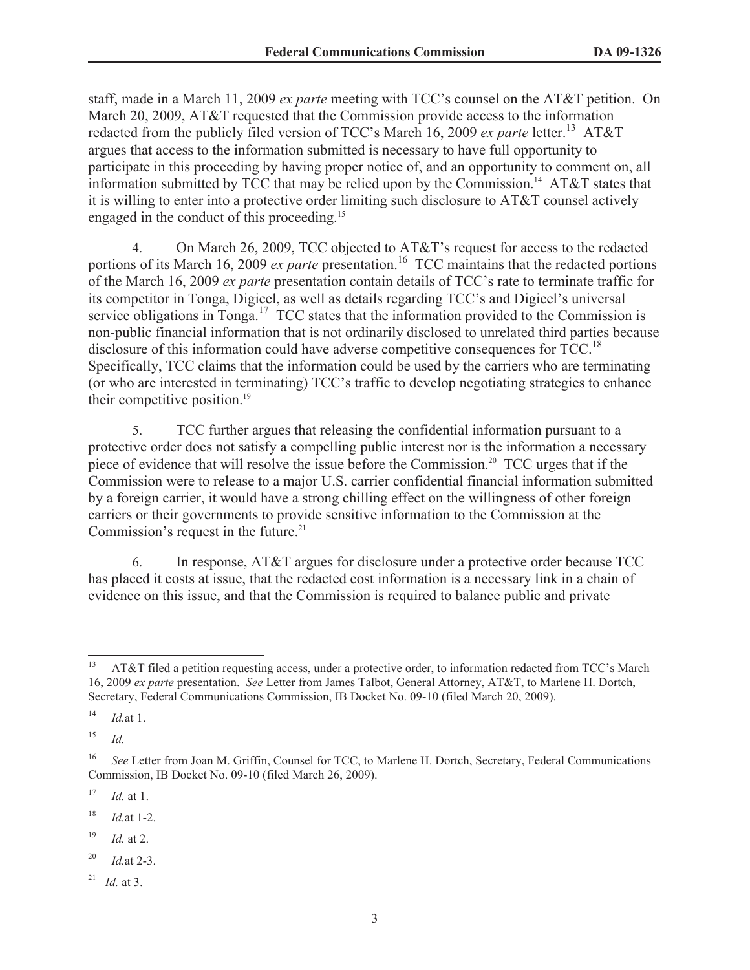staff, made in a March 11, 2009 *ex parte* meeting with TCC's counsel on the AT&T petition. On March 20, 2009, AT&T requested that the Commission provide access to the information redacted from the publicly filed version of TCC's March 16, 2009 *ex parte* letter.<sup>13</sup> AT&T argues that access to the information submitted is necessary to have full opportunity to participate in this proceeding by having proper notice of, and an opportunity to comment on, all information submitted by TCC that may be relied upon by the Commission.<sup>14</sup> AT&T states that it is willing to enter into a protective order limiting such disclosure to AT&T counsel actively engaged in the conduct of this proceeding.<sup>15</sup>

4. On March 26, 2009, TCC objected to AT&T's request for access to the redacted portions of its March 16, 2009 *ex parte* presentation.<sup>16</sup> TCC maintains that the redacted portions of the March 16, 2009 *ex parte* presentation contain details of TCC's rate to terminate traffic for its competitor in Tonga, Digicel, as well as details regarding TCC's and Digicel's universal service obligations in Tonga.<sup>17</sup> TCC states that the information provided to the Commission is non-public financial information that is not ordinarily disclosed to unrelated third parties because disclosure of this information could have adverse competitive consequences for TCC.<sup>18</sup> Specifically, TCC claims that the information could be used by the carriers who are terminating (or who are interested in terminating) TCC's traffic to develop negotiating strategies to enhance their competitive position.<sup>19</sup>

5. TCC further argues that releasing the confidential information pursuant to a protective order does not satisfy a compelling public interest nor is the information a necessary piece of evidence that will resolve the issue before the Commission.<sup>20</sup> TCC urges that if the Commission were to release to a major U.S. carrier confidential financial information submitted by a foreign carrier, it would have a strong chilling effect on the willingness of other foreign carriers or their governments to provide sensitive information to the Commission at the Commission's request in the future.<sup>21</sup>

6. In response, AT&T argues for disclosure under a protective order because TCC has placed it costs at issue, that the redacted cost information is a necessary link in a chain of evidence on this issue, and that the Commission is required to balance public and private

 $17$  *Id.* at 1.

<sup>18</sup> *Id.*at 1-2.

- <sup>20</sup> *Id.*at 2-3.
- <sup>21</sup> *Id.* at 3.

<sup>&</sup>lt;sup>13</sup> AT&T filed a petition requesting access, under a protective order, to information redacted from TCC's March 16, 2009 *ex parte* presentation. *See* Letter from James Talbot, General Attorney, AT&T, to Marlene H. Dortch, Secretary, Federal Communications Commission, IB Docket No. 09-10 (filed March 20, 2009).

<sup>14</sup> *Id.*at 1.

<sup>15</sup> *Id.*

<sup>&</sup>lt;sup>16</sup> *See* Letter from Joan M. Griffin, Counsel for TCC, to Marlene H. Dortch, Secretary, Federal Communications Commission, IB Docket No. 09-10 (filed March 26, 2009).

<sup>19</sup> *Id.* at 2.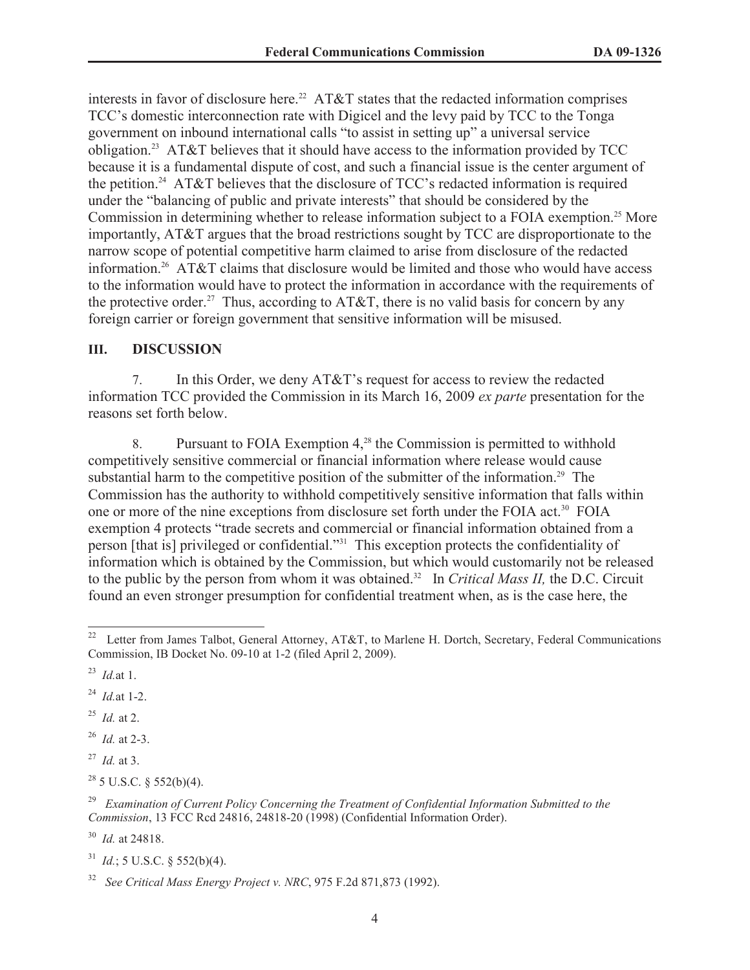interests in favor of disclosure here.<sup>22</sup> AT&T states that the redacted information comprises TCC's domestic interconnection rate with Digicel and the levy paid by TCC to the Tonga government on inbound international calls "to assist in setting up" a universal service obligation.<sup>23</sup> AT&T believes that it should have access to the information provided by TCC because it is a fundamental dispute of cost, and such a financial issue is the center argument of the petition.<sup>24</sup> AT&T believes that the disclosure of TCC's redacted information is required under the "balancing of public and private interests" that should be considered by the Commission in determining whether to release information subject to a FOIA exemption.<sup>25</sup> More importantly, AT&T argues that the broad restrictions sought by TCC are disproportionate to the narrow scope of potential competitive harm claimed to arise from disclosure of the redacted information.<sup>26</sup> AT&T claims that disclosure would be limited and those who would have access to the information would have to protect the information in accordance with the requirements of the protective order.<sup>27</sup> Thus, according to AT&T, there is no valid basis for concern by any foreign carrier or foreign government that sensitive information will be misused.

#### **III. DISCUSSION**

7. In this Order, we deny AT&T's request for access to review the redacted information TCC provided the Commission in its March 16, 2009 *ex parte* presentation for the reasons set forth below.

8. Pursuant to FOIA Exemption  $4^{28}$ , the Commission is permitted to withhold competitively sensitive commercial or financial information where release would cause substantial harm to the competitive position of the submitter of the information.<sup>29</sup> The Commission has the authority to withhold competitively sensitive information that falls within one or more of the nine exceptions from disclosure set forth under the FOIA act.<sup>30</sup> FOIA exemption 4 protects "trade secrets and commercial or financial information obtained from a person [that is] privileged or confidential."<sup>31</sup> This exception protects the confidentiality of information which is obtained by the Commission, but which would customarily not be released to the public by the person from whom it was obtained.<sup>32</sup> In *Critical Mass II*, the D.C. Circuit found an even stronger presumption for confidential treatment when, as is the case here, the

- <sup>25</sup> *Id.* at 2.
- <sup>26</sup> *Id.* at 2-3.
- <sup>27</sup> *Id.* at 3.
- $28$  5 U.S.C. § 552(b)(4).

<sup>&</sup>lt;sup>22</sup> Letter from James Talbot, General Attorney, AT&T, to Marlene H. Dortch, Secretary, Federal Communications Commission, IB Docket No. 09-10 at 1-2 (filed April 2, 2009).

<sup>23</sup> *Id.*at 1.

<sup>24</sup> *Id.*at 1-2.

<sup>29</sup> *Examination of Current Policy Concerning the Treatment of Confidential Information Submitted to the Commission*, 13 FCC Rcd 24816, 24818-20 (1998) (Confidential Information Order).

<sup>30</sup> *Id.* at 24818.

 $^{31}$  *Id.*; 5 U.S.C. § 552(b)(4).

<sup>32</sup> *See Critical Mass Energy Project v. NRC*, 975 F.2d 871,873 (1992).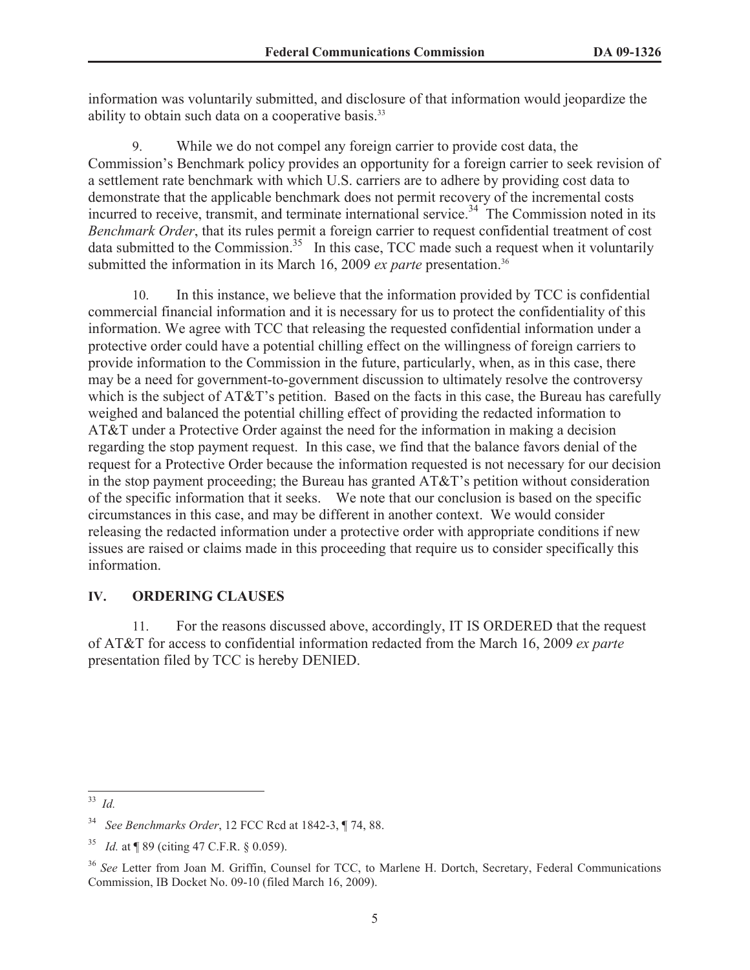information was voluntarily submitted, and disclosure of that information would jeopardize the ability to obtain such data on a cooperative basis.<sup>33</sup>

9. While we do not compel any foreign carrier to provide cost data, the Commission's Benchmark policy provides an opportunity for a foreign carrier to seek revision of a settlement rate benchmark with which U.S. carriers are to adhere by providing cost data to demonstrate that the applicable benchmark does not permit recovery of the incremental costs incurred to receive, transmit, and terminate international service.<sup>34</sup> The Commission noted in its *Benchmark Order*, that its rules permit a foreign carrier to request confidential treatment of cost data submitted to the Commission.<sup>35</sup> In this case, TCC made such a request when it voluntarily submitted the information in its March 16, 2009 *ex parte* presentation.<sup>36</sup>

10. In this instance, we believe that the information provided by TCC is confidential commercial financial information and it is necessary for us to protect the confidentiality of this information. We agree with TCC that releasing the requested confidential information under a protective order could have a potential chilling effect on the willingness of foreign carriers to provide information to the Commission in the future, particularly, when, as in this case, there may be a need for government-to-government discussion to ultimately resolve the controversy which is the subject of AT&T's petition. Based on the facts in this case, the Bureau has carefully weighed and balanced the potential chilling effect of providing the redacted information to AT&T under a Protective Order against the need for the information in making a decision regarding the stop payment request. In this case, we find that the balance favors denial of the request for a Protective Order because the information requested is not necessary for our decision in the stop payment proceeding; the Bureau has granted AT&T's petition without consideration of the specific information that it seeks. We note that our conclusion is based on the specific circumstances in this case, and may be different in another context. We would consider releasing the redacted information under a protective order with appropriate conditions if new issues are raised or claims made in this proceeding that require us to consider specifically this information.

### **IV. ORDERING CLAUSES**

11. For the reasons discussed above, accordingly, IT IS ORDERED that the request of AT&T for access to confidential information redacted from the March 16, 2009 *ex parte* presentation filed by TCC is hereby DENIED.

<sup>33</sup> *Id.*

<sup>34</sup> *See Benchmarks Order*, 12 FCC Rcd at 1842-3, ¶ 74, 88.

<sup>35</sup> *Id.* at ¶ 89 (citing 47 C.F.R. § 0.059).

<sup>36</sup> *See* Letter from Joan M. Griffin, Counsel for TCC, to Marlene H. Dortch, Secretary, Federal Communications Commission, IB Docket No. 09-10 (filed March 16, 2009).